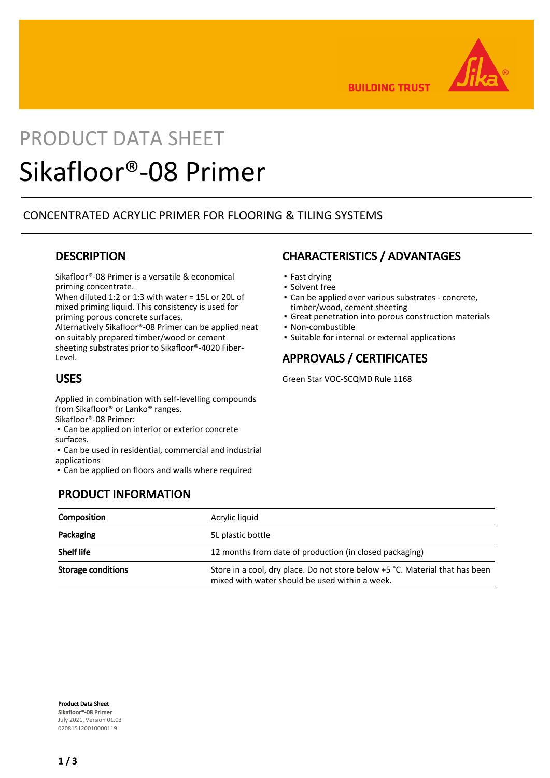

**BUILDING TRUST** 

# PRODUCT DATA SHEET

## Sikafloor®-08 Primer

#### CONCENTRATED ACRYLIC PRIMER FOR FLOORING & TILING SYSTEMS

#### **DESCRIPTION**

Sikafloor®-08 Primer is a versatile & economical priming concentrate.

When diluted 1:2 or 1:3 with water = 15L or 20L of mixed priming liquid. This consistency is used for

priming porous concrete surfaces. Alternatively Sikafloor®-08 Primer can be applied neat on suitably prepared timber/wood or cement sheeting substrates prior to Sikafloor®-4020 Fiber-Level.

#### USES

Applied in combination with self-levelling compounds from Sikafloor® or Lanko® ranges. Sikafloor®-08 Primer:

- **Can be applied on interior or exterior concrete**
- surfaces.

▪ Can be used in residential, commercial and industrial applications

▪ Can be applied on floors and walls where required

## PRODUCT INFORMATION

## CHARACTERISTICS / ADVANTAGES

- Fast drying
- **· Solvent free**
- Can be applied over various substrates concrete, timber/wood, cement sheeting
- **Great penetration into porous construction materials**
- Non-combustible
- Suitable for internal or external applications

## APPROVALS / CERTIFICATES

Green Star VOC-SCQMD Rule 1168

| Composition               | Acrylic liquid                                                                                                                 |  |
|---------------------------|--------------------------------------------------------------------------------------------------------------------------------|--|
| Packaging                 | 5L plastic bottle                                                                                                              |  |
| <b>Shelf life</b>         | 12 months from date of production (in closed packaging)                                                                        |  |
| <b>Storage conditions</b> | Store in a cool, dry place. Do not store below +5 °C. Material that has been<br>mixed with water should be used within a week. |  |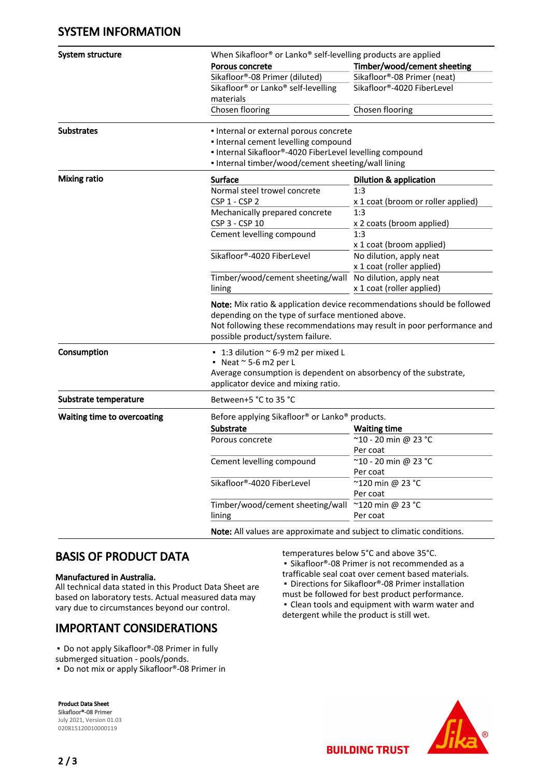#### SYSTEM INFORMATION

| System structure                   | When Sikafloor® or Lanko® self-levelling products are applied                                                                                                                                                                              |                                    |  |
|------------------------------------|--------------------------------------------------------------------------------------------------------------------------------------------------------------------------------------------------------------------------------------------|------------------------------------|--|
|                                    | <b>Porous concrete</b>                                                                                                                                                                                                                     | Timber/wood/cement sheeting        |  |
|                                    | Sikafloor®-08 Primer (diluted)                                                                                                                                                                                                             | Sikafloor®-08 Primer (neat)        |  |
|                                    | Sikafloor <sup>®</sup> or Lanko <sup>®</sup> self-levelling                                                                                                                                                                                | Sikafloor®-4020 FiberLevel         |  |
|                                    | materials                                                                                                                                                                                                                                  |                                    |  |
|                                    | Chosen flooring                                                                                                                                                                                                                            | Chosen flooring                    |  |
| <b>Substrates</b>                  | • Internal or external porous concrete                                                                                                                                                                                                     |                                    |  |
|                                    | · Internal cement levelling compound                                                                                                                                                                                                       |                                    |  |
|                                    | . Internal Sikafloor®-4020 FiberLevel levelling compound                                                                                                                                                                                   |                                    |  |
|                                    | . Internal timber/wood/cement sheeting/wall lining                                                                                                                                                                                         |                                    |  |
| <b>Mixing ratio</b>                | <b>Surface</b>                                                                                                                                                                                                                             | <b>Dilution &amp; application</b>  |  |
|                                    | Normal steel trowel concrete                                                                                                                                                                                                               | 1:3                                |  |
|                                    | CSP 1 - CSP 2                                                                                                                                                                                                                              | x 1 coat (broom or roller applied) |  |
|                                    | Mechanically prepared concrete                                                                                                                                                                                                             | 1:3                                |  |
|                                    | CSP 3 - CSP 10                                                                                                                                                                                                                             | x 2 coats (broom applied)          |  |
|                                    | Cement levelling compound                                                                                                                                                                                                                  | 1:3                                |  |
|                                    |                                                                                                                                                                                                                                            | x 1 coat (broom applied)           |  |
|                                    | Sikafloor®-4020 FiberLevel                                                                                                                                                                                                                 | No dilution, apply neat            |  |
|                                    |                                                                                                                                                                                                                                            | x 1 coat (roller applied)          |  |
|                                    | Timber/wood/cement sheeting/wall No dilution, apply neat                                                                                                                                                                                   |                                    |  |
|                                    | lining                                                                                                                                                                                                                                     | x 1 coat (roller applied)          |  |
|                                    | Note: Mix ratio & application device recommendations should be followed<br>depending on the type of surface mentioned above.<br>Not following these recommendations may result in poor performance and<br>possible product/system failure. |                                    |  |
| Consumption                        | $\cdot$ 1:3 dilution $\sim$ 6-9 m2 per mixed L                                                                                                                                                                                             |                                    |  |
|                                    | Neat $\approx$ 5-6 m2 per L                                                                                                                                                                                                                |                                    |  |
|                                    | Average consumption is dependent on absorbency of the substrate,                                                                                                                                                                           |                                    |  |
|                                    | applicator device and mixing ratio.                                                                                                                                                                                                        |                                    |  |
| Substrate temperature              | Between+5 °C to 35 °C                                                                                                                                                                                                                      |                                    |  |
| <b>Waiting time to overcoating</b> | Before applying Sikafloor® or Lanko® products.                                                                                                                                                                                             |                                    |  |
|                                    | Substrate                                                                                                                                                                                                                                  | <b>Waiting time</b>                |  |
|                                    | Porous concrete                                                                                                                                                                                                                            | ~10 - 20 min @ 23 °C               |  |
|                                    |                                                                                                                                                                                                                                            | Per coat                           |  |
|                                    | Cement levelling compound                                                                                                                                                                                                                  | ~10 - 20 min @ 23 °C               |  |
|                                    |                                                                                                                                                                                                                                            | Per coat                           |  |
|                                    | Sikafloor®-4020 FiberLevel                                                                                                                                                                                                                 | ~120 min @ 23 °C                   |  |
|                                    |                                                                                                                                                                                                                                            | Per coat                           |  |
|                                    | Timber/wood/cement sheeting/wall                                                                                                                                                                                                           | ~120 min @ 23 °C                   |  |
|                                    | lining                                                                                                                                                                                                                                     | Per coat                           |  |
|                                    | Note: All values are approximate and subject to climatic conditions.                                                                                                                                                                       |                                    |  |

#### BASIS OF PRODUCT DATA

#### Manufactured in Australia.

All technical data stated in this Product Data Sheet are based on laboratory tests. Actual measured data may vary due to circumstances beyond our control.

## IMPORTANT CONSIDERATIONS

■ Do not apply Sikafloor®-08 Primer in fully

submerged situation - pools/ponds.

■ Do not mix or apply Sikafloor®-08 Primer in

Product Data Sheet Sikafloor®-08 Primer July 2021, Version 01.03 020815120010000119

temperatures below 5°C and above 35°C. ■ Sikafloor®-08 Primer is not recommended as a trafficable seal coat over cement based materials. ■ Directions for Sikafloor®-08 Primer installation must be followed for best product performance. ▪ Clean tools and equipment with warm water and detergent while the product is still wet.



**BUILDING TRUST**